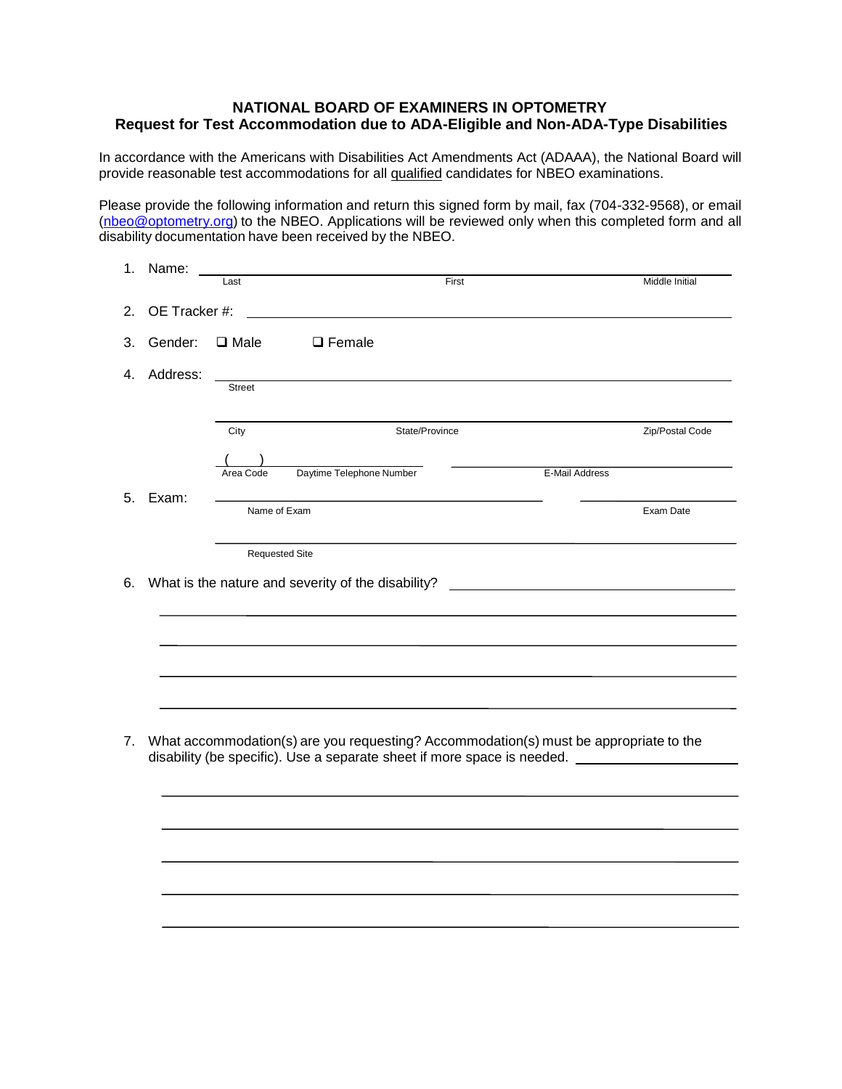## **NATIONAL BOARD OF EXAMINERS IN OPTOMETRY Request for Test Accommodation due to ADA-Eligible and Non-ADA-Type Disabilities**

In accordance with the Americans with Disabilities Act Amendments Act (ADAAA), the National Board will provide reasonable test accommodations for all qualified candidates for NBEO examinations.

Please provide the following information and return this signed form by mail, fax (704-332-9568), or email [\(nbeo@optometry.org\)](mailto:nbeo@optometry.org) to the NBEO. Applications will be reviewed only when this completed form and all disability documentation have been received by the NBEO.

| Name:         | Last                  | First                                                                                                                                                                            | Middle Initial  |
|---------------|-----------------------|----------------------------------------------------------------------------------------------------------------------------------------------------------------------------------|-----------------|
| OE Tracker #: |                       |                                                                                                                                                                                  |                 |
| Gender:       | $\Box$ Male           | $\Box$ Female                                                                                                                                                                    |                 |
| Address:      | <b>Street</b>         |                                                                                                                                                                                  |                 |
|               | City                  | State/Province                                                                                                                                                                   | Zip/Postal Code |
|               | Area Code             | Daytime Telephone Number                                                                                                                                                         | E-Mail Address  |
| Exam:         | Name of Exam          |                                                                                                                                                                                  | Exam Date       |
|               | <b>Requested Site</b> | What is the nature and severity of the disability?                                                                                                                               |                 |
|               |                       |                                                                                                                                                                                  |                 |
|               |                       | What accommodation(s) are you requesting? Accommodation(s) must be appropriate to the<br>disability (be specific). Use a separate sheet if more space is needed. _______________ |                 |
|               |                       |                                                                                                                                                                                  |                 |
|               |                       |                                                                                                                                                                                  |                 |